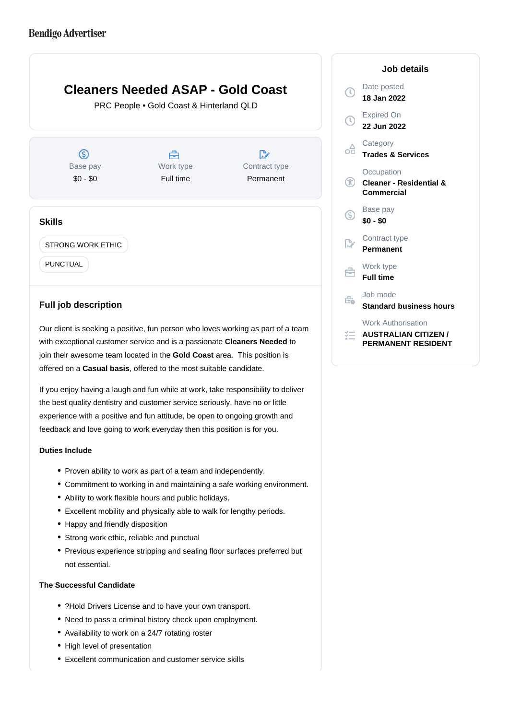# **Cleaners Needed ASAP - Gold Coast**

PRC People • Gold Coast & Hinterland QLD

 $\circledS$ D. A Work type Base pay Contract type \$0 - \$0 Full time Permanent **Skills**

STRONG WORK ETHIC

PUNCTUAL

## **Full job description**

Our client is seeking a positive, fun person who loves working as part of a team with exceptional customer service and is a passionate Cleaners Needed to join their awesome team located in the Gold Coast area. This position is offered on a **Casual basis**, offered to the most suitable candidate.

If you enjoy having a laugh and fun while at work, take responsibility to deliver the best quality dentistry and customer service seriously, have no or little experience with a positive and fun attitude, be open to ongoing growth and feedback and love going to work everyday then this position is for you.

#### **Duties Include**

- Proven ability to work as part of a team and independently.
- Commitment to working in and maintaining a safe working environment.
- Ability to work flexible hours and public holidays.
- Excellent mobility and physically able to walk for lengthy periods.
- Happy and friendly disposition
- Strong work ethic, reliable and punctual
- Previous experience stripping and sealing floor surfaces preferred but not essential.

#### **The Successful Candidate**

- ?Hold Drivers License and to have your own transport.
- Need to pass a criminal history check upon employment.
- Availability to work on a 24/7 rotating roster
- High level of presentation
- Excellent communication and customer service skills

### **Job details** Date posted  $\bigcirc$ **18 Jan 2022** Expired On **22 Jun 2022 Category** οĦ **Trades & Services Occupation**  $\bigcirc$ **Cleaner - Residential & Commercial** Base pay (S) **\$0 - \$0** Contract type **Permanent** Work type Ê. **Full time** Job mode  $\Rightarrow$ **Standard business hours** Work Authorisation *<del>E</del>* AUSTRALIAN CITIZEN /

**PERMANENT RESIDENT**